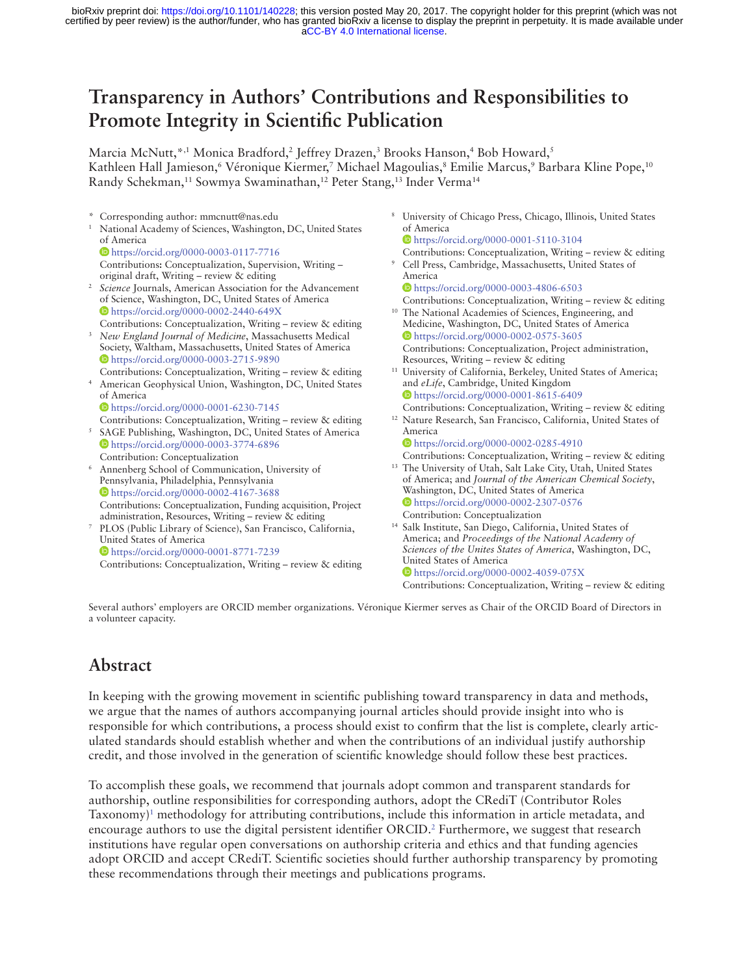[aCC-BY 4.0 International license.](http://creativecommons.org/licenses/by/4.0/) certified by peer review) is the author/funder, who has granted bioRxiv a license to display the preprint in perpetuity. It is made available under bioRxiv preprint doi: [https://doi.org/10.1101/140228;](https://doi.org/10.1101/140228) this version posted May 20, 2017. The copyright holder for this preprint (which was not

# **Transparency in Authors' Contributions and Responsibilities to Promote Integrity in Scientific Publication**

Marcia McNutt, \*,1 Monica Bradford,<sup>2</sup> Jeffrey Drazen,<sup>3</sup> Brooks Hanson,<sup>4</sup> Bob Howard,<sup>5</sup> Kathleen Hall Jamieson, 'Véronique Kiermer, 7 Michael Magoulias, <sup>8</sup> Emilie Marcus, <sup>9</sup> Barbara Kline Pope, <sup>10</sup> Randy Schekman,<sup>11</sup> Sowmya Swaminathan,<sup>12</sup> Peter Stang,<sup>13</sup> Inder Verma<sup>14</sup>

- \* Corresponding author: mmcnutt@nas.edu
- National Academy of Sciences, Washington, DC, United States of America
- <https://orcid.org/0000-0003-0117-7716> Contributions**:** Conceptualization, Supervision, Writing – original draft, Writing – review & editing
- <sup>2</sup>*Science* Journals, American Association for the Advancement of Science, Washington, DC, United States of America <https://orcid.org/0000-0002-2440-649X>
- Contributions: Conceptualization, Writing review & editing <sup>3</sup>*New England Journal of Medicine*, Massachusetts Medical Society, Waltham, Massachusetts, United States of America <https://orcid.org/0000-0003-2715-9890>
- Contributions: Conceptualization, Writing review & editing 4 American Geophysical Union, Washington, DC, United States of America
	- <https://orcid.org/0000-0001-6230-7145>
- Contributions: Conceptualization, Writing review & editing 5 SAGE Publishing, Washington, DC, United States of America <https://orcid.org/0000-0003-3774-6896> Contribution: Conceptualization
- 6 Annenberg School of Communication, University of Pennsylvania, Philadelphia, Pennsylvania <https://orcid.org/0000-0002-4167-3688>
- Contributions: Conceptualization, Funding acquisition, Project administration, Resources, Writing – review & editing
- 7 PLOS (Public Library of Science), San Francisco, California, United States of America <https://orcid.org/0000-0001-8771-7239>
	- Contributions: Conceptualization, Writing review & editing
- 8 University of Chicago Press, Chicago, Illinois, United States of America
- <https://orcid.org/0000-0001-5110-3104> Contributions: Conceptualization, Writing – review & editing
- 9 Cell Press, Cambridge, Massachusetts, United States of America <https://orcid.org/0000-0003-4806-6503>
- Contributions: Conceptualization, Writing review & editing <sup>10</sup> The National Academies of Sciences, Engineering, and
- Medicine, Washington, DC, United States of America <https://orcid.org/0000-0002-0575-3605> Contributions: Conceptualization, Project administration, Resources, Writing – review & editing
- <sup>11</sup> University of California, Berkeley, United States of America; and *eLife*, Cambridge, United Kingdom <https://orcid.org/0000-0001-8615-6409>
- Contributions: Conceptualization, Writing review & editing 12 Nature Research, San Francisco, California, United States of America
	- <https://orcid.org/0000-0002-0285-4910>
	- Contributions: Conceptualization, Writing review & editing
- <sup>13</sup> The University of Utah, Salt Lake City, Utah, United States of America; and *Journal of the American Chemical Society*, Washington, DC, United States of America <https://orcid.org/0000-0002-2307-0576> Contribution: Conceptualization
- 14 Salk Institute, San Diego, California, United States of America; and *Proceedings of the National Academy of Sciences of the Unites States of America*, Washington, DC, United States of America <https://orcid.org/0000-0002-4059-075X> Contributions: Conceptualization, Writing – review & editing

Several authors' employers are ORCID member organizations. Véronique Kiermer serves as Chair of the ORCID Board of Directors in a volunteer capacity.

## **Abstract**

In keeping with the growing movement in scientific publishing toward transparency in data and methods, we argue that the names of authors accompanying journal articles should provide insight into who is responsible for which contributions, a process should exist to confirm that the list is complete, clearly articulated standards should establish whether and when the contributions of an individual justify authorship credit, and those involved in the generation of scientific knowledge should follow these best practices.

To accomplish these goals, we recommend that journals adopt common and transparent standards for authorship, outline responsibilities for corresponding authors, adopt the CRediT (Contributor Roles Taxonomy)[1](#page-6-0) methodology for attributing contributions, include this information in article metadata, and encourage authors to use the digital persistent identifier ORCID.<sup>2</sup> Furthermore, we suggest that research institutions have regular open conversations on authorship criteria and ethics and that funding agencies adopt ORCID and accept CRediT. Scientific societies should further authorship transparency by promoting these recommendations through their meetings and publications programs.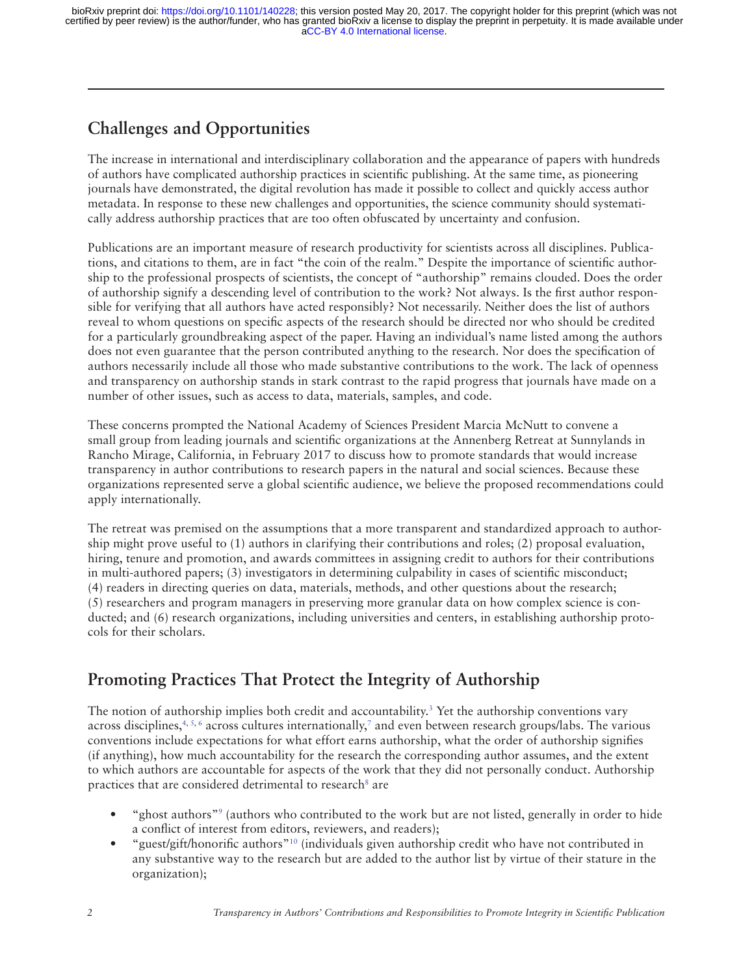## **Challenges and Opportunities**

The increase in international and interdisciplinary collaboration and the appearance of papers with hundreds of authors have complicated authorship practices in scientific publishing. At the same time, as pioneering journals have demonstrated, the digital revolution has made it possible to collect and quickly access author metadata. In response to these new challenges and opportunities, the science community should systematically address authorship practices that are too often obfuscated by uncertainty and confusion.

Publications are an important measure of research productivity for scientists across all disciplines. Publications, and citations to them, are in fact "the coin of the realm." Despite the importance of scientific authorship to the professional prospects of scientists, the concept of "authorship" remains clouded. Does the order of authorship signify a descending level of contribution to the work? Not always. Is the first author responsible for verifying that all authors have acted responsibly? Not necessarily. Neither does the list of authors reveal to whom questions on specific aspects of the research should be directed nor who should be credited for a particularly groundbreaking aspect of the paper. Having an individual's name listed among the authors does not even guarantee that the person contributed anything to the research. Nor does the specification of authors necessarily include all those who made substantive contributions to the work. The lack of openness and transparency on authorship stands in stark contrast to the rapid progress that journals have made on a number of other issues, such as access to data, materials, samples, and code.

These concerns prompted the National Academy of Sciences President Marcia McNutt to convene a small group from leading journals and scientific organizations at the Annenberg Retreat at Sunnylands in Rancho Mirage, California, in February 2017 to discuss how to promote standards that would increase transparency in author contributions to research papers in the natural and social sciences. Because these organizations represented serve a global scientific audience, we believe the proposed recommendations could apply internationally.

The retreat was premised on the assumptions that a more transparent and standardized approach to authorship might prove useful to (1) authors in clarifying their contributions and roles; (2) proposal evaluation, hiring, tenure and promotion, and awards committees in assigning credit to authors for their contributions in multi-authored papers; (3) investigators in determining culpability in cases of scientific misconduct; (4) readers in directing queries on data, materials, methods, and other questions about the research; (5) researchers and program managers in preserving more granular data on how complex science is conducted; and (6) research organizations, including universities and centers, in establishing authorship protocols for their scholars.

## **Promoting Practices That Protect the Integrity of Authorship**

The notion of authorship implies both credit and accountability.<sup>3</sup> Yet the authorship conventions vary across disciplines,<sup>4, 5, 6</sup> across cultures internationally,<sup>7</sup> and even between research groups/labs. The various conventions include expectations for what effort earns authorship, what the order of authorship signifies (if anything), how much accountability for the research the corresponding author assumes, and the extent to which authors are accountable for aspects of the work that they did not personally conduct. Authorship practices that are considered detrimental to research<sup>8</sup> are

- "ghost authors"<sup>9</sup> (authors who contributed to the work but are not listed, generally in order to hide a conflict of interest from editors, reviewers, and readers);
- "guest/gift/honorific authors["10](#page-7-3) (individuals given authorship credit who have not contributed in any substantive way to the research but are added to the author list by virtue of their stature in the organization);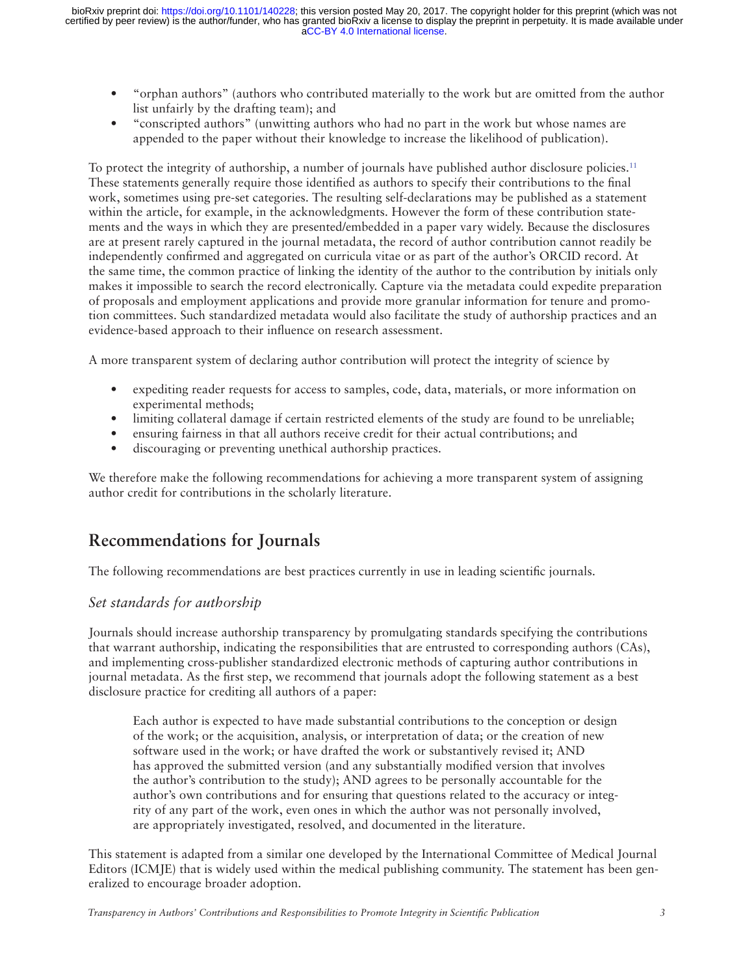- "orphan authors" (authors who contributed materially to the work but are omitted from the author list unfairly by the drafting team); and
- "conscripted authors" (unwitting authors who had no part in the work but whose names are appended to the paper without their knowledge to increase the likelihood of publication).

To protect the integrity of authorship, a number of journals have published author disclosure policies.<sup>11</sup> These statements generally require those identified as authors to specify their contributions to the final work, sometimes using pre-set categories. The resulting self-declarations may be published as a statement within the article, for example, in the acknowledgments. However the form of these contribution statements and the ways in which they are presented/embedded in a paper vary widely. Because the disclosures are at present rarely captured in the journal metadata, the record of author contribution cannot readily be independently confirmed and aggregated on curricula vitae or as part of the author's ORCID record. At the same time, the common practice of linking the identity of the author to the contribution by initials only makes it impossible to search the record electronically. Capture via the metadata could expedite preparation of proposals and employment applications and provide more granular information for tenure and promotion committees. Such standardized metadata would also facilitate the study of authorship practices and an evidence-based approach to their influence on research assessment.

A more transparent system of declaring author contribution will protect the integrity of science by

- expediting reader requests for access to samples, code, data, materials, or more information on experimental methods;
- limiting collateral damage if certain restricted elements of the study are found to be unreliable;
- ensuring fairness in that all authors receive credit for their actual contributions; and
- discouraging or preventing unethical authorship practices.

We therefore make the following recommendations for achieving a more transparent system of assigning author credit for contributions in the scholarly literature.

### **Recommendations for Journals**

The following recommendations are best practices currently in use in leading scientific journals.

#### *Set standards for authorship*

Journals should increase authorship transparency by promulgating standards specifying the contributions that warrant authorship, indicating the responsibilities that are entrusted to corresponding authors (CAs), and implementing cross-publisher standardized electronic methods of capturing author contributions in journal metadata. As the first step, we recommend that journals adopt the following statement as a best disclosure practice for crediting all authors of a paper:

Each author is expected to have made substantial contributions to the conception or design of the work; or the acquisition, analysis, or interpretation of data; or the creation of new software used in the work; or have drafted the work or substantively revised it; AND has approved the submitted version (and any substantially modified version that involves the author's contribution to the study); AND agrees to be personally accountable for the author's own contributions and for ensuring that questions related to the accuracy or integrity of any part of the work, even ones in which the author was not personally involved, are appropriately investigated, resolved, and documented in the literature.

This statement is adapted from a similar one developed by the International Committee of Medical Journal Editors (ICMJE) that is widely used within the medical publishing community. The statement has been generalized to encourage broader adoption.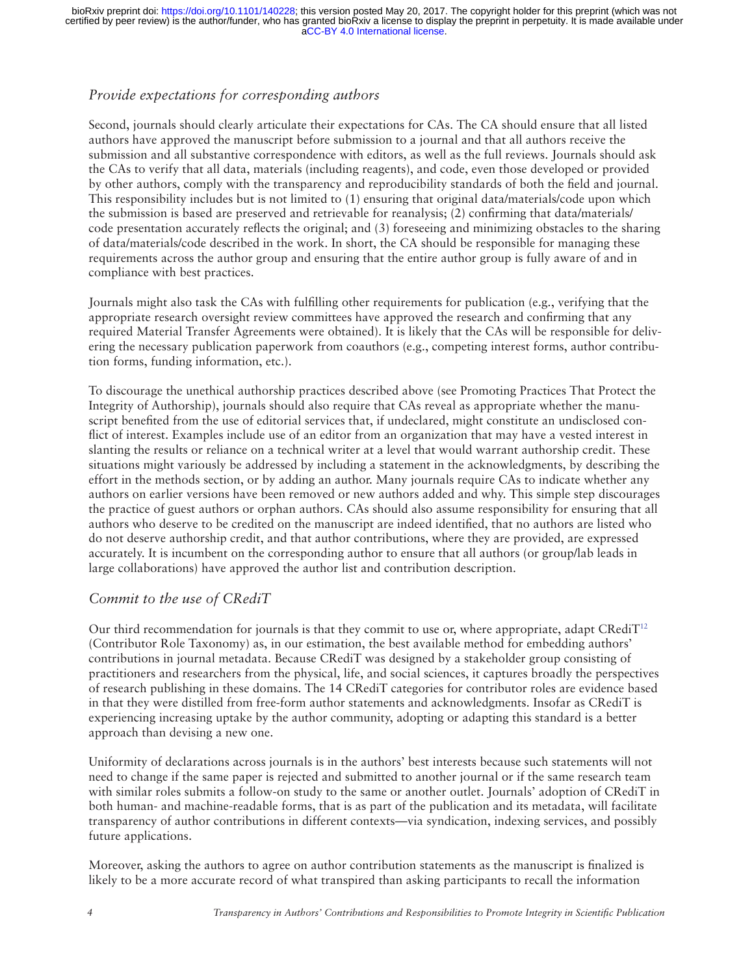### *Provide expectations for corresponding authors*

Second, journals should clearly articulate their expectations for CAs. The CA should ensure that all listed authors have approved the manuscript before submission to a journal and that all authors receive the submission and all substantive correspondence with editors, as well as the full reviews. Journals should ask the CAs to verify that all data, materials (including reagents), and code, even those developed or provided by other authors, comply with the transparency and reproducibility standards of both the field and journal. This responsibility includes but is not limited to (1) ensuring that original data/materials/code upon which the submission is based are preserved and retrievable for reanalysis; (2) confirming that data/materials/ code presentation accurately reflects the original; and (3) foreseeing and minimizing obstacles to the sharing of data/materials/code described in the work. In short, the CA should be responsible for managing these requirements across the author group and ensuring that the entire author group is fully aware of and in compliance with best practices.

Journals might also task the CAs with fulfilling other requirements for publication (e.g., verifying that the appropriate research oversight review committees have approved the research and confirming that any required Material Transfer Agreements were obtained). It is likely that the CAs will be responsible for delivering the necessary publication paperwork from coauthors (e.g., competing interest forms, author contribution forms, funding information, etc.).

To discourage the unethical authorship practices described above (see Promoting Practices That Protect the Integrity of Authorship), journals should also require that CAs reveal as appropriate whether the manuscript benefited from the use of editorial services that, if undeclared, might constitute an undisclosed conflict of interest. Examples include use of an editor from an organization that may have a vested interest in slanting the results or reliance on a technical writer at a level that would warrant authorship credit. These situations might variously be addressed by including a statement in the acknowledgments, by describing the effort in the methods section, or by adding an author. Many journals require CAs to indicate whether any authors on earlier versions have been removed or new authors added and why. This simple step discourages the practice of guest authors or orphan authors. CAs should also assume responsibility for ensuring that all authors who deserve to be credited on the manuscript are indeed identified, that no authors are listed who do not deserve authorship credit, and that author contributions, where they are provided, are expressed accurately. It is incumbent on the corresponding author to ensure that all authors (or group/lab leads in large collaborations) have approved the author list and contribution description.

#### *Commit to the use of CRediT*

Our third recommendation for journals is that they commit to use or, where appropriate, adapt CRediT<sup>[12](#page-7-5)</sup> (Contributor Role Taxonomy) as, in our estimation, the best available method for embedding authors' contributions in journal metadata. Because CRediT was designed by a stakeholder group consisting of practitioners and researchers from the physical, life, and social sciences, it captures broadly the perspectives of research publishing in these domains. The 14 CRediT categories for contributor roles are evidence based in that they were distilled from free-form author statements and acknowledgments. Insofar as CRediT is experiencing increasing uptake by the author community, adopting or adapting this standard is a better approach than devising a new one.

Uniformity of declarations across journals is in the authors' best interests because such statements will not need to change if the same paper is rejected and submitted to another journal or if the same research team with similar roles submits a follow-on study to the same or another outlet. Journals' adoption of CRediT in both human- and machine-readable forms, that is as part of the publication and its metadata, will facilitate transparency of author contributions in different contexts—via syndication, indexing services, and possibly future applications.

Moreover, asking the authors to agree on author contribution statements as the manuscript is finalized is likely to be a more accurate record of what transpired than asking participants to recall the information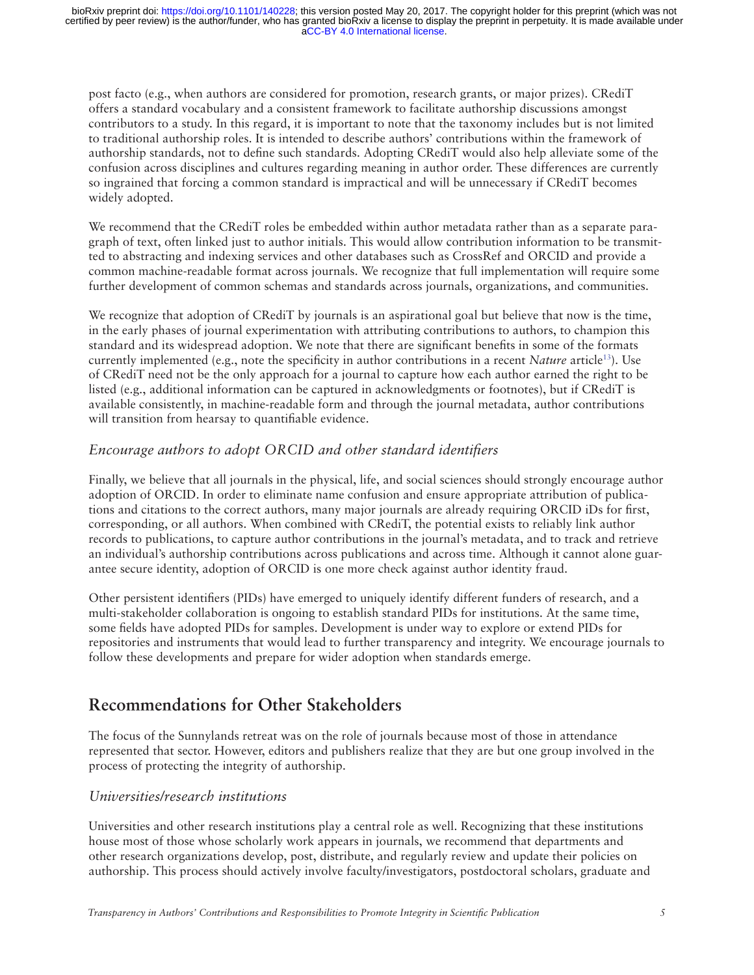post facto (e.g., when authors are considered for promotion, research grants, or major prizes). CRediT offers a standard vocabulary and a consistent framework to facilitate authorship discussions amongst contributors to a study. In this regard, it is important to note that the taxonomy includes but is not limited to traditional authorship roles. It is intended to describe authors' contributions within the framework of authorship standards, not to define such standards. Adopting CRediT would also help alleviate some of the confusion across disciplines and cultures regarding meaning in author order. These differences are currently so ingrained that forcing a common standard is impractical and will be unnecessary if CRediT becomes widely adopted.

We recommend that the CRediT roles be embedded within author metadata rather than as a separate paragraph of text, often linked just to author initials. This would allow contribution information to be transmitted to abstracting and indexing services and other databases such as CrossRef and ORCID and provide a common machine-readable format across journals. We recognize that full implementation will require some further development of common schemas and standards across journals, organizations, and communities.

We recognize that adoption of CRediT by journals is an aspirational goal but believe that now is the time, in the early phases of journal experimentation with attributing contributions to authors, to champion this standard and its widespread adoption. We note that there are significant benefits in some of the formats currently implemented (e.g., note the specificity in author contributions in a recent *Nature* article[13](#page-7-6)). Use of CRediT need not be the only approach for a journal to capture how each author earned the right to be listed (e.g., additional information can be captured in acknowledgments or footnotes), but if CRediT is available consistently, in machine-readable form and through the journal metadata, author contributions will transition from hearsay to quantifiable evidence.

### *Encourage authors to adopt ORCID and other standard identifiers*

Finally, we believe that all journals in the physical, life, and social sciences should strongly encourage author adoption of ORCID. In order to eliminate name confusion and ensure appropriate attribution of publications and citations to the correct authors, many major journals are already requiring ORCID iDs for first, corresponding, or all authors. When combined with CRediT, the potential exists to reliably link author records to publications, to capture author contributions in the journal's metadata, and to track and retrieve an individual's authorship contributions across publications and across time. Although it cannot alone guarantee secure identity, adoption of ORCID is one more check against author identity fraud.

Other persistent identifiers (PIDs) have emerged to uniquely identify different funders of research, and a multi-stakeholder collaboration is ongoing to establish standard PIDs for institutions. At the same time, some fields have adopted PIDs for samples. Development is under way to explore or extend PIDs for repositories and instruments that would lead to further transparency and integrity. We encourage journals to follow these developments and prepare for wider adoption when standards emerge.

### **Recommendations for Other Stakeholders**

The focus of the Sunnylands retreat was on the role of journals because most of those in attendance represented that sector. However, editors and publishers realize that they are but one group involved in the process of protecting the integrity of authorship.

#### *Universities/research institutions*

Universities and other research institutions play a central role as well. Recognizing that these institutions house most of those whose scholarly work appears in journals, we recommend that departments and other research organizations develop, post, distribute, and regularly review and update their policies on authorship. This process should actively involve faculty/investigators, postdoctoral scholars, graduate and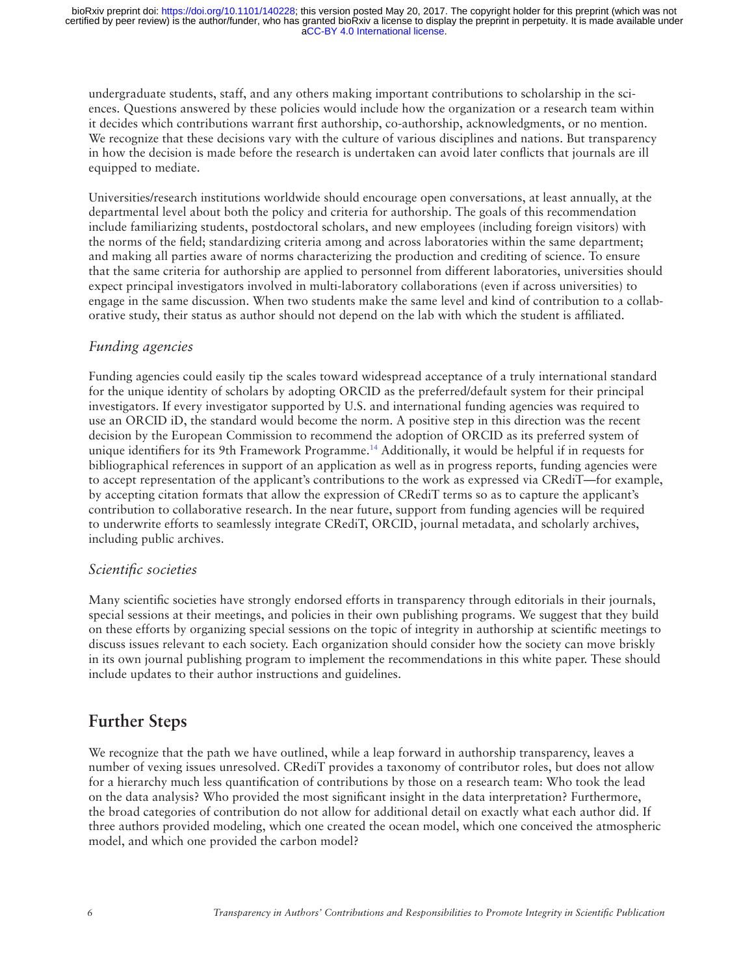undergraduate students, staff, and any others making important contributions to scholarship in the sciences. Questions answered by these policies would include how the organization or a research team within it decides which contributions warrant first authorship, co-authorship, acknowledgments, or no mention. We recognize that these decisions vary with the culture of various disciplines and nations. But transparency in how the decision is made before the research is undertaken can avoid later conflicts that journals are ill equipped to mediate.

Universities/research institutions worldwide should encourage open conversations, at least annually, at the departmental level about both the policy and criteria for authorship. The goals of this recommendation include familiarizing students, postdoctoral scholars, and new employees (including foreign visitors) with the norms of the field; standardizing criteria among and across laboratories within the same department; and making all parties aware of norms characterizing the production and crediting of science. To ensure that the same criteria for authorship are applied to personnel from different laboratories, universities should expect principal investigators involved in multi-laboratory collaborations (even if across universities) to engage in the same discussion. When two students make the same level and kind of contribution to a collaborative study, their status as author should not depend on the lab with which the student is affiliated.

#### *Funding agencies*

Funding agencies could easily tip the scales toward widespread acceptance of a truly international standard for the unique identity of scholars by adopting ORCID as the preferred/default system for their principal investigators. If every investigator supported by U.S. and international funding agencies was required to use an ORCID iD, the standard would become the norm. A positive step in this direction was the recent decision by the European Commission to recommend the adoption of ORCID as its preferred system of unique identifiers for its 9th Framework Programme[.14](#page-7-7) Additionally, it would be helpful if in requests for bibliographical references in support of an application as well as in progress reports, funding agencies were to accept representation of the applicant's contributions to the work as expressed via CRediT—for example, by accepting citation formats that allow the expression of CRediT terms so as to capture the applicant's contribution to collaborative research. In the near future, support from funding agencies will be required to underwrite efforts to seamlessly integrate CRediT, ORCID, journal metadata, and scholarly archives, including public archives.

#### *Scientific societies*

Many scientific societies have strongly endorsed efforts in transparency through editorials in their journals, special sessions at their meetings, and policies in their own publishing programs. We suggest that they build on these efforts by organizing special sessions on the topic of integrity in authorship at scientific meetings to discuss issues relevant to each society. Each organization should consider how the society can move briskly in its own journal publishing program to implement the recommendations in this white paper. These should include updates to their author instructions and guidelines.

### **Further Steps**

We recognize that the path we have outlined, while a leap forward in authorship transparency, leaves a number of vexing issues unresolved. CRediT provides a taxonomy of contributor roles, but does not allow for a hierarchy much less quantification of contributions by those on a research team: Who took the lead on the data analysis? Who provided the most significant insight in the data interpretation? Furthermore, the broad categories of contribution do not allow for additional detail on exactly what each author did. If three authors provided modeling, which one created the ocean model, which one conceived the atmospheric model, and which one provided the carbon model?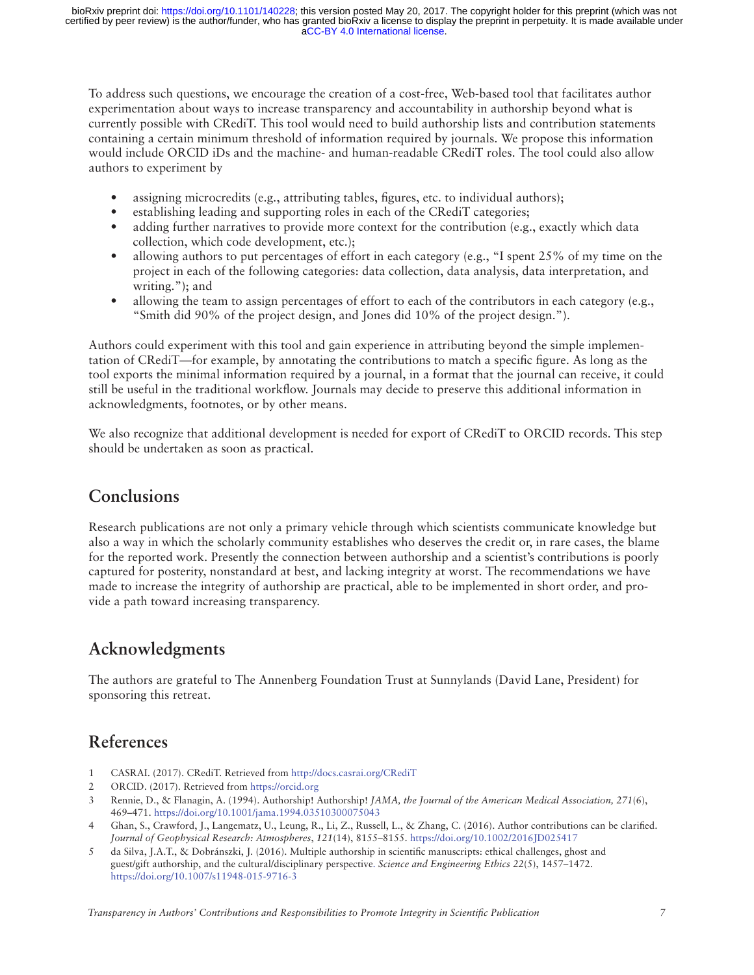[aCC-BY 4.0 International license.](http://creativecommons.org/licenses/by/4.0/) certified by peer review) is the author/funder, who has granted bioRxiv a license to display the preprint in perpetuity. It is made available under bioRxiv preprint doi: [https://doi.org/10.1101/140228;](https://doi.org/10.1101/140228) this version posted May 20, 2017. The copyright holder for this preprint (which was not

To address such questions, we encourage the creation of a cost-free, Web-based tool that facilitates author experimentation about ways to increase transparency and accountability in authorship beyond what is currently possible with CRediT. This tool would need to build authorship lists and contribution statements containing a certain minimum threshold of information required by journals. We propose this information would include ORCID iDs and the machine- and human-readable CRediT roles. The tool could also allow authors to experiment by

- assigning microcredits (e.g., attributing tables, figures, etc. to individual authors);
- establishing leading and supporting roles in each of the CRediT categories;
- adding further narratives to provide more context for the contribution (e.g., exactly which data collection, which code development, etc.);
- allowing authors to put percentages of effort in each category (e.g., "I spent  $25\%$  of my time on the project in each of the following categories: data collection, data analysis, data interpretation, and writing."); and
- allowing the team to assign percentages of effort to each of the contributors in each category (e.g., "Smith did 90% of the project design, and Jones did 10% of the project design.").

Authors could experiment with this tool and gain experience in attributing beyond the simple implementation of CRediT—for example, by annotating the contributions to match a specific figure. As long as the tool exports the minimal information required by a journal, in a format that the journal can receive, it could still be useful in the traditional workflow. Journals may decide to preserve this additional information in acknowledgments, footnotes, or by other means.

We also recognize that additional development is needed for export of CRediT to ORCID records. This step should be undertaken as soon as practical.

### **Conclusions**

Research publications are not only a primary vehicle through which scientists communicate knowledge but also a way in which the scholarly community establishes who deserves the credit or, in rare cases, the blame for the reported work. Presently the connection between authorship and a scientist's contributions is poorly captured for posterity, nonstandard at best, and lacking integrity at worst. The recommendations we have made to increase the integrity of authorship are practical, able to be implemented in short order, and provide a path toward increasing transparency.

### **Acknowledgments**

The authors are grateful to The Annenberg Foundation Trust at Sunnylands (David Lane, President) for sponsoring this retreat.

### **References**

- <span id="page-6-0"></span>1 CASRAI. (2017). CRediT. Retrieved from <http://docs.casrai.org/CRediT>
- <span id="page-6-1"></span>2 ORCID. (2017). Retrieved from [https://orcid.org](https://orcid.org/)
- <span id="page-6-2"></span>3 Rennie, D., & Flanagin, A. (1994). Authorship! Authorship! *JAMA, the Journal of the American Medical Association, 271*(6), 469–471.<https://doi.org/10.1001/jama.1994.03510300075043>
- <span id="page-6-3"></span>4 Ghan, S., Crawford, J., Langematz, U., Leung, R., Li, Z., Russell, L., & Zhang, C. (2016). Author contributions can be clarified. *Journal of Geophysical Research: Atmospheres*, *121*(14), 8155–8155.<https://doi.org/10.1002/2016JD025417>
- 5 da Silva, J.A.T., & Dobránszki, J. (2016). Multiple authorship in scientific manuscripts: ethical challenges, ghost and guest/gift authorship, and the cultural/disciplinary perspective. *Science and Engineering Ethics 22*(5), 1457–1472. <https://doi.org/10.1007/s11948-015-9716-3>